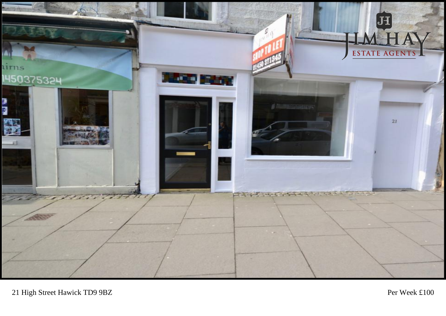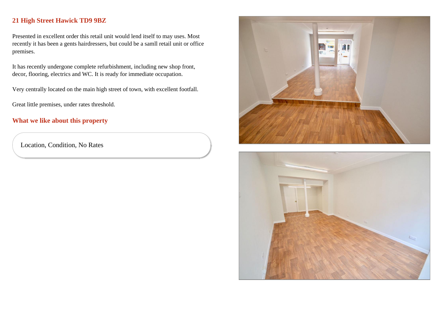## **21 High Street Hawick TD9 9BZ**

Presented in excellent order this retail unit would lend itself to may uses. Most recently it has been a gents hairdressers, but could be a samll retail unit or office premises.

It has recently undergone complete refurbishment, including new shop front, decor, flooring, electrics and WC. It is ready for immediate occupation.

Very centrally located on the main high street of town, with excellent footfall.

Great little premises, under rates threshold.

## **What we like about this property**

Location, Condition, No Rates



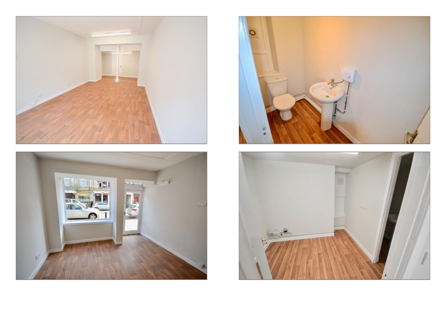